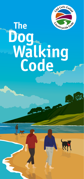

K

## **The Dog Walking Code**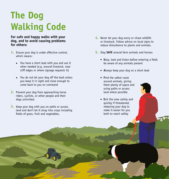## **The Dog Walking Code**

## **For safe and happy walks with your dog, and to avoid causing problems for others:**

- **1.** Ensure your dog is under effective control, which means:
	- You have a short lead with you and use it when needed (e.g. around livestock, near cliff edges or where signage requests it)
	- You do not let your dog off the lead unless you keep it in sight and close enough to come back to you on command
- **2.** Prevent your dog from approaching horse riders, cyclists, or other people and their dogs uninvited.
- **3.** Keep your dog with you on paths or access land and don't let it stray into crops including fields of grass, fruit and vegetables.
- **4.** Never let your dog worry or chase wildlife or livestock. Follow advice on local signs to reduce disturbance to plants and animals.
- **5.** Stay **SAFE** around farm animals and horses:
	- **Stop, look and listen before entering a field;** be aware of any animals present
	- **Always keep your dog on a short lead**
	- **Find the safest route** around animals, giving them plenty of space and using paths or access land where possible
	- **Exit the area calmly and** quickly if threatened, releasing your dog to make it easier for you both to reach safety